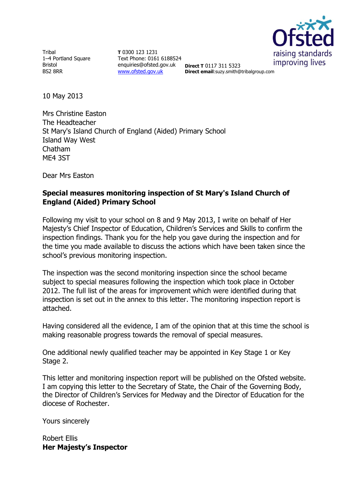

**Tribal** 1–4 Portland Square Bristol BS2 8RR

**T** 0300 123 1231 Text Phone: 0161 6188524 enquiries@ofsted.gov.uk [www.ofsted.gov.uk](http://www.ofsted.gov.uk/)

**Direct T** 0117 311 5323 **Direct email**:suzy.smith@tribalgroup.com

10 May 2013

Mrs Christine Easton The Headteacher St Mary's Island Church of England (Aided) Primary School Island Way West Chatham ME4 3ST

Dear Mrs Easton

# **Special measures monitoring inspection of St Mary's Island Church of England (Aided) Primary School**

Following my visit to your school on 8 and 9 May 2013, I write on behalf of Her Majesty's Chief Inspector of Education, Children's Services and Skills to confirm the inspection findings. Thank you for the help you gave during the inspection and for the time you made available to discuss the actions which have been taken since the school's previous monitoring inspection.

The inspection was the second monitoring inspection since the school became subject to special measures following the inspection which took place in October 2012. The full list of the areas for improvement which were identified during that inspection is set out in the annex to this letter. The monitoring inspection report is attached.

Having considered all the evidence, I am of the opinion that at this time the school is making reasonable progress towards the removal of special measures.

One additional newly qualified teacher may be appointed in Key Stage 1 or Key Stage 2.

This letter and monitoring inspection report will be published on the Ofsted website. I am copying this letter to the Secretary of State, the Chair of the Governing Body, the Director of Children's Services for Medway and the Director of Education for the diocese of Rochester.

Yours sincerely

Robert Ellis **Her Majesty's Inspector**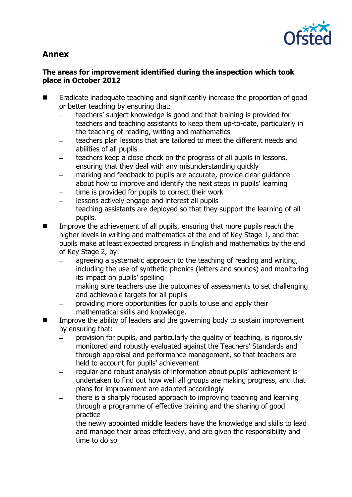

# **Annex**

# **The areas for improvement identified during the inspection which took place in October 2012**

- Eradicate inadequate teaching and significantly increase the proportion of good or better teaching by ensuring that:
	- teachers' subject knowledge is good and that training is provided for  $\equiv$ teachers and teaching assistants to keep them up-to-date, particularly in the teaching of reading, writing and mathematics
	- teachers plan lessons that are tailored to meet the different needs and abilities of all pupils
	- teachers keep a close check on the progress of all pupils in lessons, ensuring that they deal with any misunderstanding quickly
	- marking and feedback to pupils are accurate, provide clear guidance about how to improve and identify the next steps in pupils' learning
	- time is provided for pupils to correct their work
	- lessons actively engage and interest all pupils  $\equiv$
	- teaching assistants are deployed so that they support the learning of all  $\overline{a}$ pupils.
- $\blacksquare$  Improve the achievement of all pupils, ensuring that more pupils reach the higher levels in writing and mathematics at the end of Key Stage 1, and that pupils make at least expected progress in English and mathematics by the end of Key Stage 2, by:
	- agreeing a systematic approach to the teaching of reading and writing, including the use of synthetic phonics (letters and sounds) and monitoring its impact on pupils' spelling
	- making sure teachers use the outcomes of assessments to set challenging and achievable targets for all pupils
	- providing more opportunities for pupils to use and apply their mathematical skills and knowledge.
- Improve the ability of leaders and the governing body to sustain improvement by ensuring that:
	- provision for pupils, and particularly the quality of teaching, is rigorously monitored and robustly evaluated against the Teachers' Standards and through appraisal and performance management, so that teachers are held to account for pupils' achievement
	- regular and robust analysis of information about pupils' achievement is  $\overline{\phantom{0}}$ undertaken to find out how well all groups are making progress, and that plans for improvement are adapted accordingly
	- there is a sharply focused approach to improving teaching and learning through a programme of effective training and the sharing of good practice
	- the newly appointed middle leaders have the knowledge and skills to lead and manage their areas effectively, and are given the responsibility and time to do so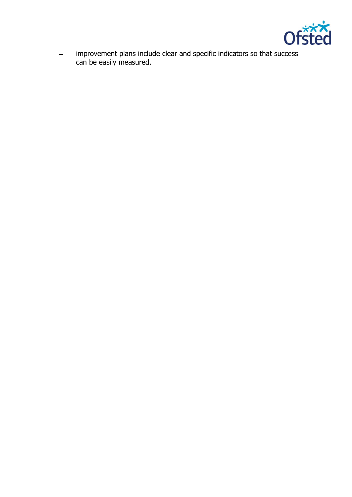

 $\overline{\phantom{0}}$ improvement plans include clear and specific indicators so that success can be easily measured.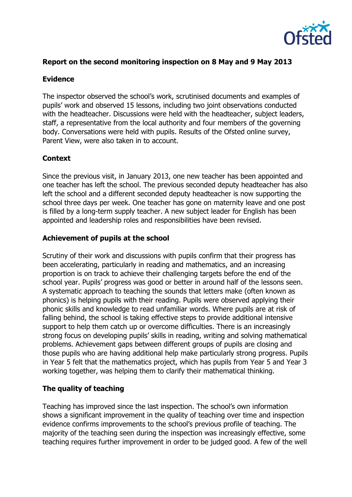

# **Report on the second monitoring inspection on 8 May and 9 May 2013**

# **Evidence**

The inspector observed the school's work, scrutinised documents and examples of pupils' work and observed 15 lessons, including two joint observations conducted with the headteacher. Discussions were held with the headteacher, subject leaders, staff, a representative from the local authority and four members of the governing body. Conversations were held with pupils. Results of the Ofsted online survey, Parent View, were also taken in to account.

# **Context**

Since the previous visit, in January 2013, one new teacher has been appointed and one teacher has left the school. The previous seconded deputy headteacher has also left the school and a different seconded deputy headteacher is now supporting the school three days per week. One teacher has gone on maternity leave and one post is filled by a long-term supply teacher. A new subject leader for English has been appointed and leadership roles and responsibilities have been revised.

#### **Achievement of pupils at the school**

Scrutiny of their work and discussions with pupils confirm that their progress has been accelerating, particularly in reading and mathematics, and an increasing proportion is on track to achieve their challenging targets before the end of the school year. Pupils' progress was good or better in around half of the lessons seen. A systematic approach to teaching the sounds that letters make (often known as phonics) is helping pupils with their reading. Pupils were observed applying their phonic skills and knowledge to read unfamiliar words. Where pupils are at risk of falling behind, the school is taking effective steps to provide additional intensive support to help them catch up or overcome difficulties. There is an increasingly strong focus on developing pupils' skills in reading, writing and solving mathematical problems. Achievement gaps between different groups of pupils are closing and those pupils who are having additional help make particularly strong progress. Pupils in Year 5 felt that the mathematics project, which has pupils from Year 5 and Year 3 working together, was helping them to clarify their mathematical thinking.

# **The quality of teaching**

Teaching has improved since the last inspection. The school's own information shows a significant improvement in the quality of teaching over time and inspection evidence confirms improvements to the school's previous profile of teaching. The majority of the teaching seen during the inspection was increasingly effective, some teaching requires further improvement in order to be judged good. A few of the well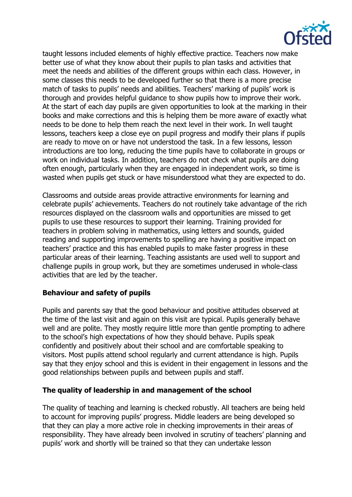

taught lessons included elements of highly effective practice. Teachers now make better use of what they know about their pupils to plan tasks and activities that meet the needs and abilities of the different groups within each class. However, in some classes this needs to be developed further so that there is a more precise match of tasks to pupils' needs and abilities. Teachers' marking of pupils' work is thorough and provides helpful guidance to show pupils how to improve their work. At the start of each day pupils are given opportunities to look at the marking in their books and make corrections and this is helping them be more aware of exactly what needs to be done to help them reach the next level in their work. In well taught lessons, teachers keep a close eye on pupil progress and modify their plans if pupils are ready to move on or have not understood the task. In a few lessons, lesson introductions are too long, reducing the time pupils have to collaborate in groups or work on individual tasks. In addition, teachers do not check what pupils are doing often enough, particularly when they are engaged in independent work, so time is wasted when pupils get stuck or have misunderstood what they are expected to do.

Classrooms and outside areas provide attractive environments for learning and celebrate pupils' achievements. Teachers do not routinely take advantage of the rich resources displayed on the classroom walls and opportunities are missed to get pupils to use these resources to support their learning. Training provided for teachers in problem solving in mathematics, using letters and sounds, guided reading and supporting improvements to spelling are having a positive impact on teachers' practice and this has enabled pupils to make faster progress in these particular areas of their learning. Teaching assistants are used well to support and challenge pupils in group work, but they are sometimes underused in whole-class activities that are led by the teacher.

# **Behaviour and safety of pupils**

Pupils and parents say that the good behaviour and positive attitudes observed at the time of the last visit and again on this visit are typical. Pupils generally behave well and are polite. They mostly require little more than gentle prompting to adhere to the school's high expectations of how they should behave. Pupils speak confidently and positively about their school and are comfortable speaking to visitors. Most pupils attend school regularly and current attendance is high. Pupils say that they enjoy school and this is evident in their engagement in lessons and the good relationships between pupils and between pupils and staff.

# **The quality of leadership in and management of the school**

The quality of teaching and learning is checked robustly. All teachers are being held to account for improving pupils' progress. Middle leaders are being developed so that they can play a more active role in checking improvements in their areas of responsibility. They have already been involved in scrutiny of teachers' planning and pupils' work and shortly will be trained so that they can undertake lesson